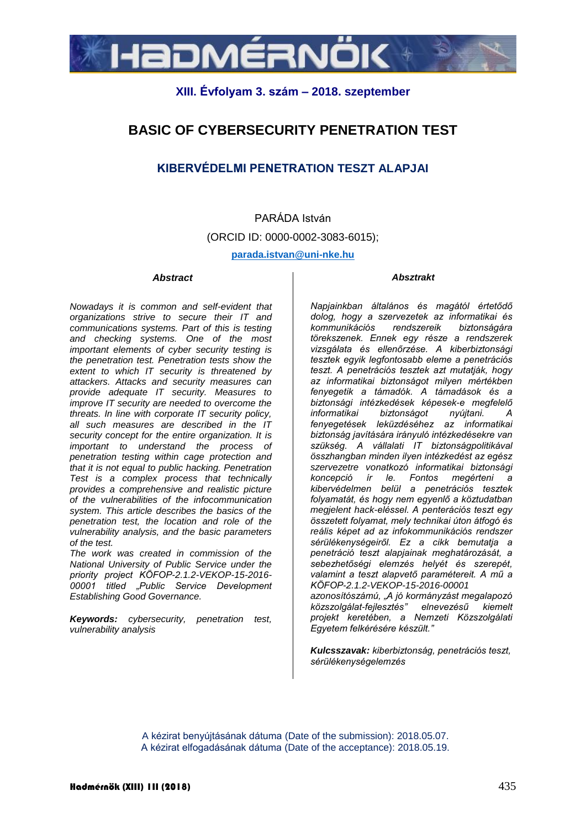

## **XIII. Évfolyam 3. szám – 2018. szeptember**

## **BASIC OF CYBERSECURITY PENETRATION TEST**

### **KIBERVÉDELMI PENETRATION TESZT ALAPJAI**

# PARÁDA István (ORCID ID: 0000-0002-3083-6015);

#### **parada.istvan@uni-nke.hu**

#### *Abstract*

#### *Absztrakt*

*Nowadays it is common and self-evident that organizations strive to secure their IT and communications systems. Part of this is testing and checking systems. One of the most important elements of cyber security testing is the penetration test. Penetration tests show the extent to which IT security is threatened by attackers. Attacks and security measures can provide adequate IT security. Measures to improve IT security are needed to overcome the threats. In line with corporate IT security policy, all such measures are described in the IT security concept for the entire organization. It is important to understand the process of penetration testing within cage protection and that it is not equal to public hacking. Penetration Test is a complex process that technically provides a comprehensive and realistic picture of the vulnerabilities of the infocommunication system. This article describes the basics of the penetration test, the location and role of the vulnerability analysis, and the basic parameters of the test.*

*The work was created in commission of the National University of Public Service under the priority project KÖFOP-2.1.2-VEKOP-15-2016- 00001 titled "Public Service Development Establishing Good Governance.*

*Keywords: cybersecurity, penetration test, vulnerability analysis*

*Napjainkban általános és magától értetődő dolog, hogy a szervezetek az informatikai és kommunikációs rendszereik biztonságára törekszenek. Ennek egy része a rendszerek vizsgálata és ellenőrzése. A kiberbiztonsági tesztek egyik legfontosabb eleme a penetrációs teszt. A penetrációs tesztek azt mutatják, hogy az informatikai biztonságot milyen mértékben fenyegetik a támadók. A támadások és a biztonsági intézkedések képesek-e megfelelő informatikai biztonságot nyújtani. A fenyegetések leküzdéséhez az informatikai biztonság javítására irányuló intézkedésekre van szükség. A vállalati IT biztonságpolitikával összhangban minden ilyen intézkedést az egész szervezetre vonatkozó informatikai biztonsági koncepció ír le. Fontos megérteni a kibervédelmen belül a penetrációs tesztek folyamatát, és hogy nem egyenlő a köztudatban megjelent hack-eléssel. A penterációs teszt egy összetett folyamat, mely technikai úton átfogó és reális képet ad az infokommunikációs rendszer sérülékenységeiről. Ez a cikk bemutatja a penetráció teszt alapjainak meghatározását, a sebezhetőségi elemzés helyét és szerepét, valamint a teszt alapvető paramétereit. A mű a KÖFOP-2.1.2-VEKOP-15-2016-00001 azonosítószámú, "A jó kormányzást megalapozó közszolgálat-fejlesztés" elnevezésű kiemelt projekt keretében, a Nemzeti Közszolgálati Egyetem felkérésére készült."*

*Kulcsszavak: kiberbiztonság, penetrációs teszt, sérülékenységelemzés*

A kézirat benyújtásának dátuma (Date of the submission): 2018.05.07. A kézirat elfogadásának dátuma (Date of the acceptance): 2018.05.19.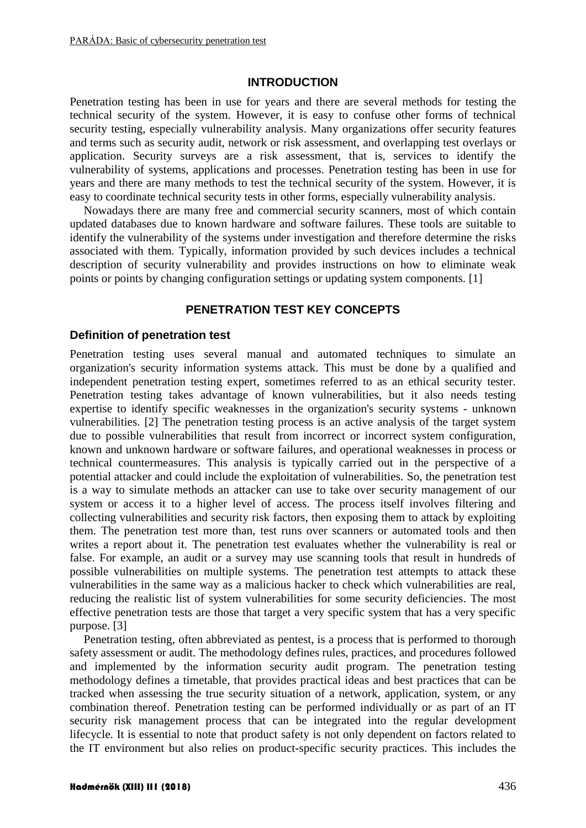#### **INTRODUCTION**

Penetration testing has been in use for years and there are several methods for testing the technical security of the system. However, it is easy to confuse other forms of technical security testing, especially vulnerability analysis. Many organizations offer security features and terms such as security audit, network or risk assessment, and overlapping test overlays or application. Security surveys are a risk assessment, that is, services to identify the vulnerability of systems, applications and processes. Penetration testing has been in use for years and there are many methods to test the technical security of the system. However, it is easy to coordinate technical security tests in other forms, especially vulnerability analysis.

Nowadays there are many free and commercial security scanners, most of which contain updated databases due to known hardware and software failures. These tools are suitable to identify the vulnerability of the systems under investigation and therefore determine the risks associated with them. Typically, information provided by such devices includes a technical description of security vulnerability and provides instructions on how to eliminate weak points or points by changing configuration settings or updating system components. [1]

#### **PENETRATION TEST KEY CONCEPTS**

#### **Definition of penetration test**

Penetration testing uses several manual and automated techniques to simulate an organization's security information systems attack. This must be done by a qualified and independent penetration testing expert, sometimes referred to as an ethical security tester. Penetration testing takes advantage of known vulnerabilities, but it also needs testing expertise to identify specific weaknesses in the organization's security systems - unknown vulnerabilities. [2] The penetration testing process is an active analysis of the target system due to possible vulnerabilities that result from incorrect or incorrect system configuration, known and unknown hardware or software failures, and operational weaknesses in process or technical countermeasures. This analysis is typically carried out in the perspective of a potential attacker and could include the exploitation of vulnerabilities. So, the penetration test is a way to simulate methods an attacker can use to take over security management of our system or access it to a higher level of access. The process itself involves filtering and collecting vulnerabilities and security risk factors, then exposing them to attack by exploiting them. The penetration test more than, test runs over scanners or automated tools and then writes a report about it. The penetration test evaluates whether the vulnerability is real or false. For example, an audit or a survey may use scanning tools that result in hundreds of possible vulnerabilities on multiple systems. The penetration test attempts to attack these vulnerabilities in the same way as a malicious hacker to check which vulnerabilities are real, reducing the realistic list of system vulnerabilities for some security deficiencies. The most effective penetration tests are those that target a very specific system that has a very specific purpose. [3]

Penetration testing, often abbreviated as pentest, is a process that is performed to thorough safety assessment or audit. The methodology defines rules, practices, and procedures followed and implemented by the information security audit program. The penetration testing methodology defines a timetable, that provides practical ideas and best practices that can be tracked when assessing the true security situation of a network, application, system, or any combination thereof. Penetration testing can be performed individually or as part of an IT security risk management process that can be integrated into the regular development lifecycle. It is essential to note that product safety is not only dependent on factors related to the IT environment but also relies on product-specific security practices. This includes the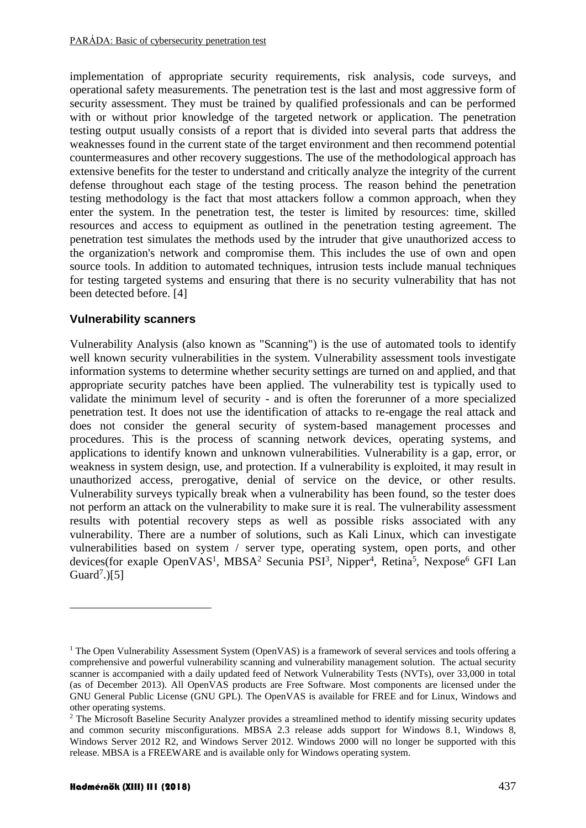implementation of appropriate security requirements, risk analysis, code surveys, and operational safety measurements. The penetration test is the last and most aggressive form of security assessment. They must be trained by qualified professionals and can be performed with or without prior knowledge of the targeted network or application. The penetration testing output usually consists of a report that is divided into several parts that address the weaknesses found in the current state of the target environment and then recommend potential countermeasures and other recovery suggestions. The use of the methodological approach has extensive benefits for the tester to understand and critically analyze the integrity of the current defense throughout each stage of the testing process. The reason behind the penetration testing methodology is the fact that most attackers follow a common approach, when they enter the system. In the penetration test, the tester is limited by resources: time, skilled resources and access to equipment as outlined in the penetration testing agreement. The penetration test simulates the methods used by the intruder that give unauthorized access to the organization's network and compromise them. This includes the use of own and open source tools. In addition to automated techniques, intrusion tests include manual techniques for testing targeted systems and ensuring that there is no security vulnerability that has not been detected before. [4]

#### **Vulnerability scanners**

Vulnerability Analysis (also known as "Scanning") is the use of automated tools to identify well known security vulnerabilities in the system. Vulnerability assessment tools investigate information systems to determine whether security settings are turned on and applied, and that appropriate security patches have been applied. The vulnerability test is typically used to validate the minimum level of security - and is often the forerunner of a more specialized penetration test. It does not use the identification of attacks to re-engage the real attack and does not consider the general security of system-based management processes and procedures. This is the process of scanning network devices, operating systems, and applications to identify known and unknown vulnerabilities. Vulnerability is a gap, error, or weakness in system design, use, and protection. If a vulnerability is exploited, it may result in unauthorized access, prerogative, denial of service on the device, or other results. Vulnerability surveys typically break when a vulnerability has been found, so the tester does not perform an attack on the vulnerability to make sure it is real. The vulnerability assessment results with potential recovery steps as well as possible risks associated with any vulnerability. There are a number of solutions, such as Kali Linux, which can investigate vulnerabilities based on system / server type, operating system, open ports, and other devices(for exaple OpenVAS<sup>1</sup>, MBSA<sup>2</sup> Secunia PSI<sup>3</sup>, Nipper<sup>4</sup>, Retina<sup>5</sup>, Nexpose<sup>6</sup> GFI Lan Guard<sup>7</sup>.)[5]

1

<sup>&</sup>lt;sup>1</sup> The Open Vulnerability Assessment System (OpenVAS) is a framework of several services and tools offering a comprehensive and powerful vulnerability scanning and vulnerability management solution. The actual security scanner is accompanied with a daily updated feed of Network Vulnerability Tests (NVTs), over 33,000 in total (as of December 2013). All OpenVAS products are Free Software. Most components are licensed under the GNU General Public License (GNU GPL). The OpenVAS is available for FREE and for Linux, Windows and other operating systems.

<sup>&</sup>lt;sup>2</sup> The Microsoft Baseline Security Analyzer provides a streamlined method to identify missing security updates and common security misconfigurations. MBSA 2.3 release adds support for Windows 8.1, Windows 8, Windows Server 2012 R2, and Windows Server 2012. Windows 2000 will no longer be supported with this release. MBSA is a FREEWARE and is available only for Windows operating system.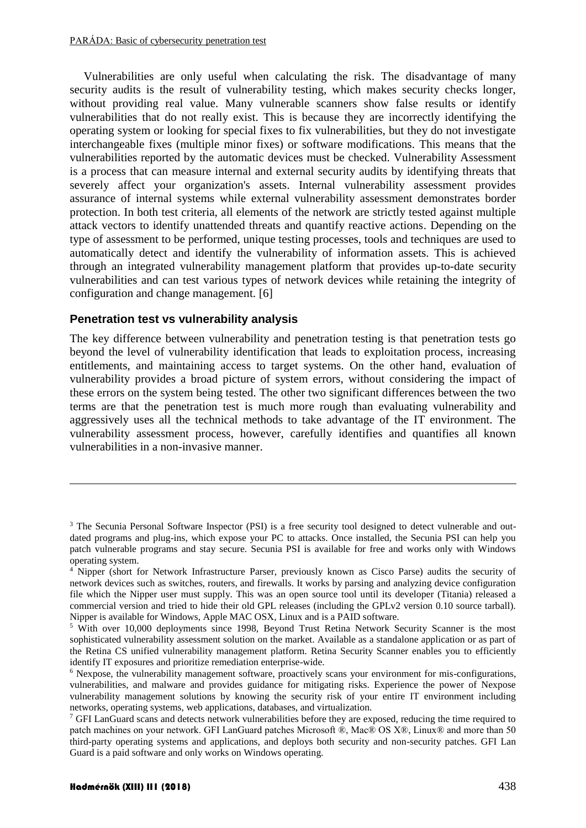Vulnerabilities are only useful when calculating the risk. The disadvantage of many security audits is the result of vulnerability testing, which makes security checks longer, without providing real value. Many vulnerable scanners show false results or identify vulnerabilities that do not really exist. This is because they are incorrectly identifying the operating system or looking for special fixes to fix vulnerabilities, but they do not investigate interchangeable fixes (multiple minor fixes) or software modifications. This means that the vulnerabilities reported by the automatic devices must be checked. Vulnerability Assessment is a process that can measure internal and external security audits by identifying threats that severely affect your organization's assets. Internal vulnerability assessment provides assurance of internal systems while external vulnerability assessment demonstrates border protection. In both test criteria, all elements of the network are strictly tested against multiple attack vectors to identify unattended threats and quantify reactive actions. Depending on the type of assessment to be performed, unique testing processes, tools and techniques are used to automatically detect and identify the vulnerability of information assets. This is achieved through an integrated vulnerability management platform that provides up-to-date security vulnerabilities and can test various types of network devices while retaining the integrity of configuration and change management. [6]

#### **Penetration test vs vulnerability analysis**

The key difference between vulnerability and penetration testing is that penetration tests go beyond the level of vulnerability identification that leads to exploitation process, increasing entitlements, and maintaining access to target systems. On the other hand, evaluation of vulnerability provides a broad picture of system errors, without considering the impact of these errors on the system being tested. The other two significant differences between the two terms are that the penetration test is much more rough than evaluating vulnerability and aggressively uses all the technical methods to take advantage of the IT environment. The vulnerability assessment process, however, carefully identifies and quantifies all known vulnerabilities in a non-invasive manner.

1

<sup>&</sup>lt;sup>3</sup> The Secunia Personal Software Inspector (PSI) is a free security tool designed to detect vulnerable and outdated programs and plug-ins, which expose your PC to attacks. Once installed, the Secunia PSI can help you patch vulnerable programs and stay secure. Secunia PSI is available for free and works only with Windows operating system.

<sup>4</sup> Nipper (short for Network Infrastructure Parser, previously known as Cisco Parse) audits the security of network devices such as switches, routers, and firewalls. It works by parsing and analyzing device configuration file which the Nipper user must supply. This was an open source tool until its developer (Titania) released a commercial version and tried to hide their old GPL releases (including the GPLv2 version 0.10 source tarball). Nipper is available for Windows, Apple MAC OSX, Linux and is a PAID software.

<sup>&</sup>lt;sup>5</sup> With over 10,000 deployments since 1998, Beyond Trust Retina Network Security Scanner is the most sophisticated vulnerability assessment solution on the market. Available as a standalone application or as part of the Retina CS unified vulnerability management platform. Retina Security Scanner enables you to efficiently identify IT exposures and prioritize remediation enterprise-wide.

<sup>6</sup> Nexpose, the vulnerability management software, proactively scans your environment for mis-configurations, vulnerabilities, and malware and provides guidance for mitigating risks. Experience the power of Nexpose vulnerability management solutions by knowing the security risk of your entire IT environment including networks, operating systems, web applications, databases, and virtualization.

<sup>&</sup>lt;sup>7</sup> GFI LanGuard scans and detects network vulnerabilities before they are exposed, reducing the time required to patch machines on your network. GFI LanGuard patches Microsoft ®, Mac® OS X®, Linux® and more than 50 third-party operating systems and applications, and deploys both security and non-security patches. GFI Lan Guard is a paid software and only works on Windows operating.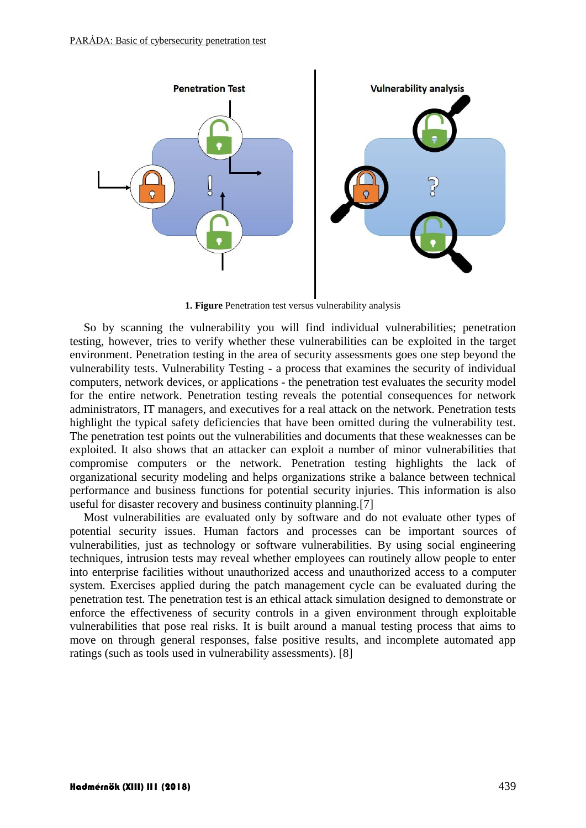

**1. Figure** Penetration test versus vulnerability analysis

So by scanning the vulnerability you will find individual vulnerabilities; penetration testing, however, tries to verify whether these vulnerabilities can be exploited in the target environment. Penetration testing in the area of security assessments goes one step beyond the vulnerability tests. Vulnerability Testing - a process that examines the security of individual computers, network devices, or applications - the penetration test evaluates the security model for the entire network. Penetration testing reveals the potential consequences for network administrators, IT managers, and executives for a real attack on the network. Penetration tests highlight the typical safety deficiencies that have been omitted during the vulnerability test. The penetration test points out the vulnerabilities and documents that these weaknesses can be exploited. It also shows that an attacker can exploit a number of minor vulnerabilities that compromise computers or the network. Penetration testing highlights the lack of organizational security modeling and helps organizations strike a balance between technical performance and business functions for potential security injuries. This information is also useful for disaster recovery and business continuity planning.[7]

Most vulnerabilities are evaluated only by software and do not evaluate other types of potential security issues. Human factors and processes can be important sources of vulnerabilities, just as technology or software vulnerabilities. By using social engineering techniques, intrusion tests may reveal whether employees can routinely allow people to enter into enterprise facilities without unauthorized access and unauthorized access to a computer system. Exercises applied during the patch management cycle can be evaluated during the penetration test. The penetration test is an ethical attack simulation designed to demonstrate or enforce the effectiveness of security controls in a given environment through exploitable vulnerabilities that pose real risks. It is built around a manual testing process that aims to move on through general responses, false positive results, and incomplete automated app ratings (such as tools used in vulnerability assessments). [8]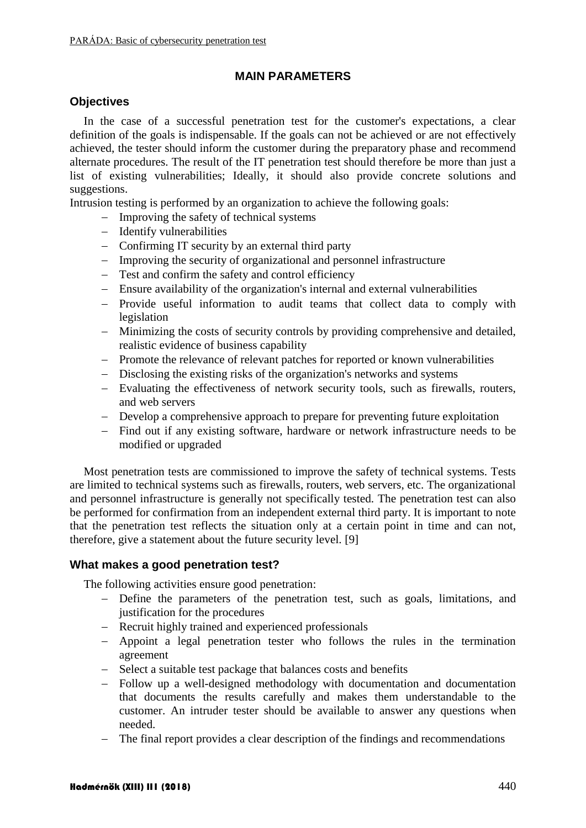#### **MAIN PARAMETERS**

#### **Objectives**

In the case of a successful penetration test for the customer's expectations, a clear definition of the goals is indispensable. If the goals can not be achieved or are not effectively achieved, the tester should inform the customer during the preparatory phase and recommend alternate procedures. The result of the IT penetration test should therefore be more than just a list of existing vulnerabilities; Ideally, it should also provide concrete solutions and suggestions.

Intrusion testing is performed by an organization to achieve the following goals:

- $-$  Improving the safety of technical systems
- $-$  Identify vulnerabilities
- Confirming IT security by an external third party
- Improving the security of organizational and personnel infrastructure
- Test and confirm the safety and control efficiency
- Ensure availability of the organization's internal and external vulnerabilities
- Provide useful information to audit teams that collect data to comply with legislation
- Minimizing the costs of security controls by providing comprehensive and detailed, realistic evidence of business capability
- Promote the relevance of relevant patches for reported or known vulnerabilities
- Disclosing the existing risks of the organization's networks and systems
- Evaluating the effectiveness of network security tools, such as firewalls, routers, and web servers
- Develop a comprehensive approach to prepare for preventing future exploitation
- Find out if any existing software, hardware or network infrastructure needs to be modified or upgraded

Most penetration tests are commissioned to improve the safety of technical systems. Tests are limited to technical systems such as firewalls, routers, web servers, etc. The organizational and personnel infrastructure is generally not specifically tested. The penetration test can also be performed for confirmation from an independent external third party. It is important to note that the penetration test reflects the situation only at a certain point in time and can not, therefore, give a statement about the future security level. [9]

#### **What makes a good penetration test?**

The following activities ensure good penetration:

- Define the parameters of the penetration test, such as goals, limitations, and justification for the procedures
- Recruit highly trained and experienced professionals
- Appoint a legal penetration tester who follows the rules in the termination agreement
- Select a suitable test package that balances costs and benefits
- Follow up a well-designed methodology with documentation and documentation that documents the results carefully and makes them understandable to the customer. An intruder tester should be available to answer any questions when needed.
- The final report provides a clear description of the findings and recommendations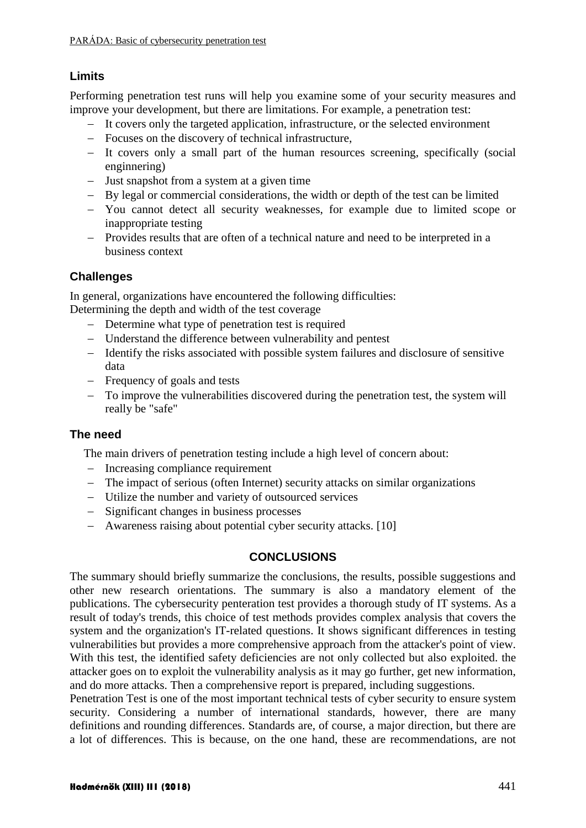## **Limits**

Performing penetration test runs will help you examine some of your security measures and improve your development, but there are limitations. For example, a penetration test:

- It covers only the targeted application, infrastructure, or the selected environment
- Focuses on the discovery of technical infrastructure,
- It covers only a small part of the human resources screening, specifically (social enginnering)
- Just snapshot from a system at a given time
- By legal or commercial considerations, the width or depth of the test can be limited
- You cannot detect all security weaknesses, for example due to limited scope or inappropriate testing
- Provides results that are often of a technical nature and need to be interpreted in a business context

## **Challenges**

In general, organizations have encountered the following difficulties:

Determining the depth and width of the test coverage

- Determine what type of penetration test is required
- Understand the difference between vulnerability and pentest
- Identify the risks associated with possible system failures and disclosure of sensitive data
- Frequency of goals and tests
- To improve the vulnerabilities discovered during the penetration test, the system will really be "safe"

#### **The need**

The main drivers of penetration testing include a high level of concern about:

- Increasing compliance requirement
- The impact of serious (often Internet) security attacks on similar organizations
- Utilize the number and variety of outsourced services
- Significant changes in business processes
- Awareness raising about potential cyber security attacks. [10]

#### **CONCLUSIONS**

The summary should briefly summarize the conclusions, the results, possible suggestions and other new research orientations. The summary is also a mandatory element of the publications. The cybersecurity penteration test provides a thorough study of IT systems. As a result of today's trends, this choice of test methods provides complex analysis that covers the system and the organization's IT-related questions. It shows significant differences in testing vulnerabilities but provides a more comprehensive approach from the attacker's point of view. With this test, the identified safety deficiencies are not only collected but also exploited. the attacker goes on to exploit the vulnerability analysis as it may go further, get new information, and do more attacks. Then a comprehensive report is prepared, including suggestions.

Penetration Test is one of the most important technical tests of cyber security to ensure system security. Considering a number of international standards, however, there are many definitions and rounding differences. Standards are, of course, a major direction, but there are a lot of differences. This is because, on the one hand, these are recommendations, are not